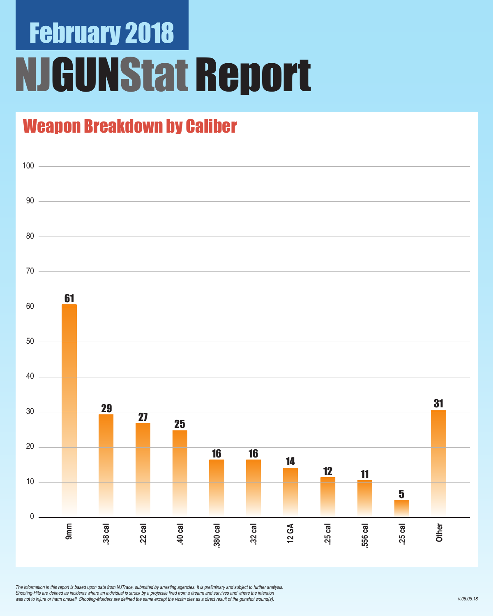# February 2018 NJGUNStat Report

### Weapon Breakdown by Caliber



*The information in this report is based upon data from NJTrace, submitted by arresting agencies. It is preliminary and subject to further analysis.*  Shooting-Hits are defined as incidents where an individual is struck by a projectile fired from a firearm and survives and where the intention was not to injure or harm oneself. Shooting-Murders are defined the same except the victim dies as a direct result of the gunshot wound(s).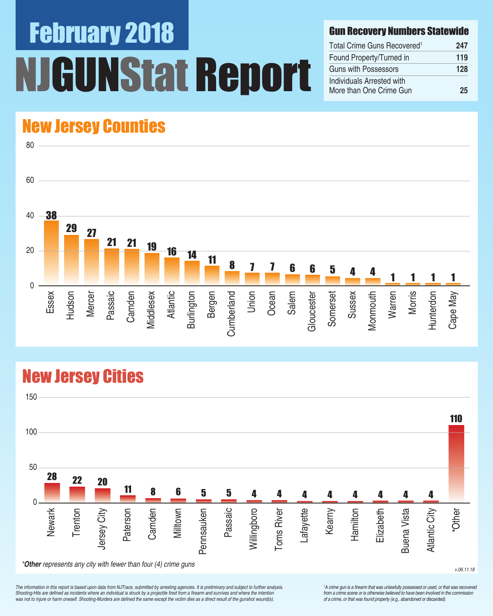# February 2018 UNStat Report

#### Gun Recovery Numbers Statewide

| Total Crime Guns Recovered <sup>1</sup>              | 247 |
|------------------------------------------------------|-----|
| Found Property/Turned in                             | 119 |
| Guns with Possessors                                 | 128 |
| Individuals Arrested with<br>More than One Crime Gun | 25  |

### New Jersey Counties



### New Jersey Cities



*The information in this report is based upon data from NJTrace, submitted by arresting agencies. It is preliminary and subject to further analysis.*  Shooting-Hits are defined as incidents where an individual is struck by a projectile fired from a firearm and survives and where the intention was not to injure or harm oneself. Shooting-Murders are defined the same except the victim dies as a direct result of the gunshot wound(s).

<sup>1</sup>A crime gun is a firearm that was unlawfully possessed or used, or that was recovered from a crime scene or is otherwise believed to have been involved in the commission *of a crime, or that was found property (e.g., abandoned or discarded).*

v.06.11.18